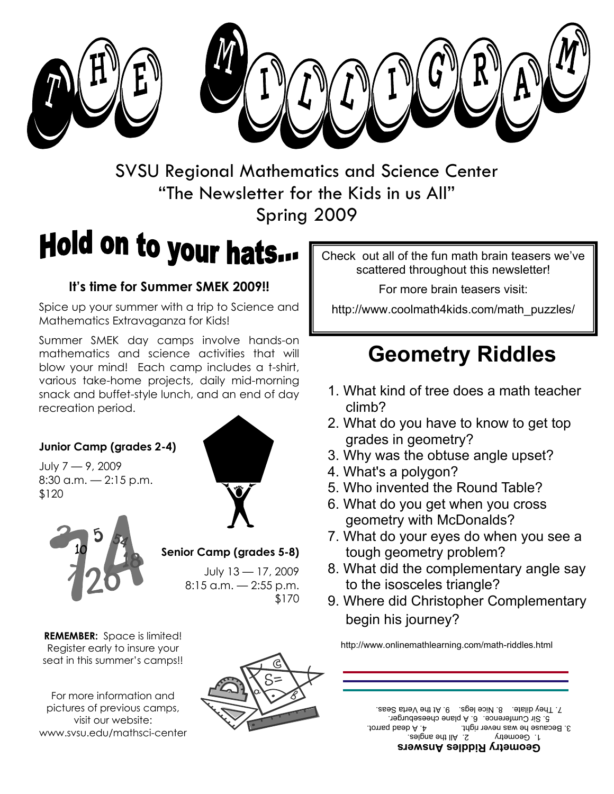



SVSU Regional Mathematics and Science Center "The Newsletter for the Kids in us All" Spring 2009

# Hold on to your hats...

#### **It's time for Summer SMEK 2009!!**

Spice up your summer with a trip to Science and Mathematics Extravaganza for Kids!

Summer SMEK day camps involve hands-on mathematics and science activities that will blow your mind! Each camp includes a t-shirt, various take-home projects, daily mid-morning snack and buffet-style lunch, and an end of day recreation period.

#### **Junior Camp (grades 2-4)**

July 7 — 9, 2009 8:30 a.m. — 2:15 p.m. \$120





**Senior Camp (grades 5-8)**

July 13 — 17, 2009 8:15 a.m. — 2:55 p.m. \$170

**REMEMBER:** Space is limited! Register early to insure your seat in this summer's camps!!

For more information and pictures of previous camps, visit our website: www.svsu.edu/mathsci-center



Check out all of the fun math brain teasers we've scattered throughout this newsletter!

For more brain teasers visit:

http://www.coolmath4kids.com/math\_puzzles/

## **Geometry Riddles**

- 1. What kind of tree does a math teacher climb?
- 2. What do you have to know to get top grades in geometry?
- 3. Why was the obtuse angle upset?
- 4. What's a polygon?
- 5. Who invented the Round Table?
- 6. What do you get when you cross geometry with McDonalds?
- 7. What do your eyes do when you see a tough geometry problem?
- 8. What did the complementary angle say to the isosceles triangle?
- 9. Where did Christopher Complementary begin his journey?

http://www.onlinemathlearning.com/math-riddles.html

**Geometry Riddles Answers**  1. Geometry 2. All the angles. 3. Because he was never right. 4. A dead parrot. 5. Sir Cumference. 6. A plane cheeseburger. 7. They diate. 8. Nice legs. 9. At the Verta Seas.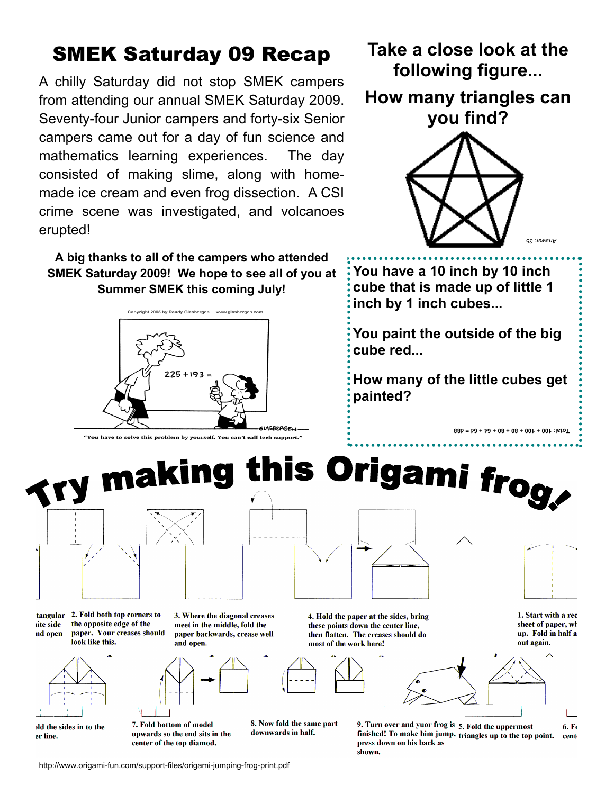### SMEK Saturday 09 Recap

A chilly Saturday did not stop SMEK campers from attending our annual SMEK Saturday 2009. Seventy-four Junior campers and forty-six Senior campers came out for a day of fun science and mathematics learning experiences. The day consisted of making slime, along with homemade ice cream and even frog dissection. A CSI crime scene was investigated, and volcanoes erupted!

**A big thanks to all of the campers who attended SMEK Saturday 2009! We hope to see all of you at Summer SMEK this coming July!** 



.<br>You have to solve this problem by vourself. You can't call tech support?'



the opposite edge of the

look like this.

paper. Your creases should



tangular 2. Fold both top corners to ite side nd open



old the sides in to the er line.

3. Where the diagonal creases meet in the middle, fold the paper backwards, crease well and open.



8. Now fold the same part downwards in half.



4. Hold the paper at the sides, bring these points down the center line. then flatten. The creases should do most of the work here!



**you find?**



**Take a close look at the** 

**following figure...** 

**How many triangles can** 

**You have a 10 inch by 10 inch cube that is made up of little 1 inch by 1 inch cubes...**

**You paint the outside of the big cube red...**

**How many of the little cubes get painted?**

**Total: 100 + 100 + 80 + 80 + 64 + 64 = 488**



1. Start with a rec sheet of paper, wh up. Fold in half a out again.



9. Turn over and yuor frog is 5. Fold the uppermost  $6. F<sub>6</sub>$ finished! To make him jump, triangles up to the top point. cent press down on his back as shown.

http://www.origami-fun.com/support-files/origami-jumping-frog-print.pdf

7. Fold bottom of model

center of the top diamod.

upwards so the end sits in the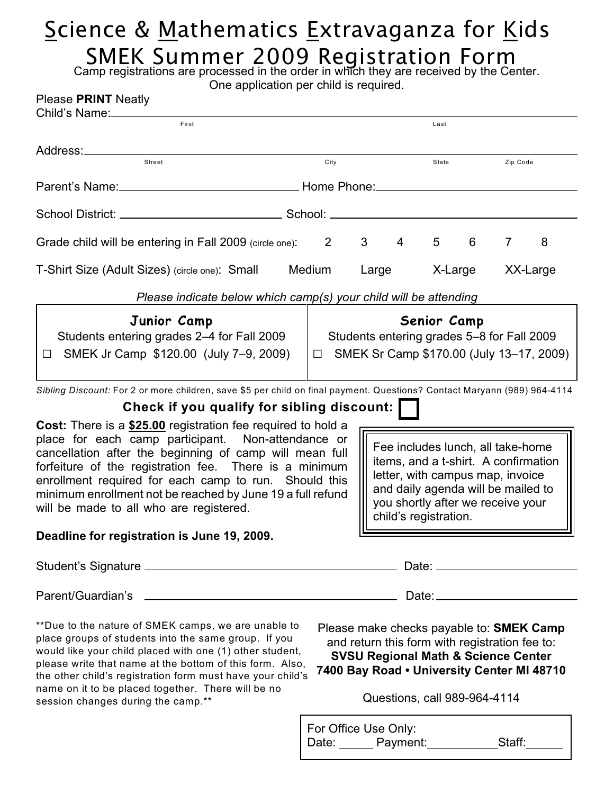### Science & Mathematics Extravaganza for Kids SMEK Summer 2009 Registration Form

Camp registrations are processed in the order in which they are received by the Center.

| One application per child is required. |  |  |  |  |
|----------------------------------------|--|--|--|--|
|----------------------------------------|--|--|--|--|

| <b>Please PRINT Neatly</b><br>Child's Name:                                                                                                                                                                                                                                                                                                                                                                                                                                                                                                                                                                                        |                                                                                                                                                                                                                   |                                                                                                              |                |          |   |                |          |  |
|------------------------------------------------------------------------------------------------------------------------------------------------------------------------------------------------------------------------------------------------------------------------------------------------------------------------------------------------------------------------------------------------------------------------------------------------------------------------------------------------------------------------------------------------------------------------------------------------------------------------------------|-------------------------------------------------------------------------------------------------------------------------------------------------------------------------------------------------------------------|--------------------------------------------------------------------------------------------------------------|----------------|----------|---|----------------|----------|--|
| First                                                                                                                                                                                                                                                                                                                                                                                                                                                                                                                                                                                                                              |                                                                                                                                                                                                                   |                                                                                                              |                | Last     |   |                |          |  |
| Street                                                                                                                                                                                                                                                                                                                                                                                                                                                                                                                                                                                                                             | City                                                                                                                                                                                                              |                                                                                                              |                | State    |   | Zip Code       |          |  |
|                                                                                                                                                                                                                                                                                                                                                                                                                                                                                                                                                                                                                                    |                                                                                                                                                                                                                   |                                                                                                              |                |          |   |                |          |  |
|                                                                                                                                                                                                                                                                                                                                                                                                                                                                                                                                                                                                                                    |                                                                                                                                                                                                                   |                                                                                                              |                |          |   |                |          |  |
| Grade child will be entering in Fall 2009 (circle one):                                                                                                                                                                                                                                                                                                                                                                                                                                                                                                                                                                            | $\overline{2}$                                                                                                                                                                                                    | $\mathbf{3}$                                                                                                 | $\overline{4}$ | 5        | 6 | $\overline{7}$ | 8        |  |
| T-Shirt Size (Adult Sizes) (circle one): Small                                                                                                                                                                                                                                                                                                                                                                                                                                                                                                                                                                                     | Medium<br>Large                                                                                                                                                                                                   |                                                                                                              |                | X-Large  |   |                | XX-Large |  |
| Please indicate below which camp(s) your child will be attending                                                                                                                                                                                                                                                                                                                                                                                                                                                                                                                                                                   |                                                                                                                                                                                                                   |                                                                                                              |                |          |   |                |          |  |
| Junior Camp<br>Students entering grades 2-4 for Fall 2009<br>SMEK Jr Camp \$120.00 (July 7-9, 2009)<br>$\Box$                                                                                                                                                                                                                                                                                                                                                                                                                                                                                                                      |                                                                                                                                                                                                                   | Senior Camp<br>Students entering grades 5-8 for Fall 2009<br>$\Box$ SMEK Sr Camp \$170.00 (July 13-17, 2009) |                |          |   |                |          |  |
| Sibling Discount: For 2 or more children, save \$5 per child on final payment. Questions? Contact Maryann (989) 964-4114                                                                                                                                                                                                                                                                                                                                                                                                                                                                                                           |                                                                                                                                                                                                                   |                                                                                                              |                |          |   |                |          |  |
| Check if you qualify for sibling discount:                                                                                                                                                                                                                                                                                                                                                                                                                                                                                                                                                                                         |                                                                                                                                                                                                                   |                                                                                                              |                |          |   |                |          |  |
| Cost: There is a \$25.00 registration fee required to hold a<br>place for each camp participant. Non-attendance or<br>cancellation after the beginning of camp will mean full<br>forfeiture of the registration fee. There is a minimum<br>enrollment required for each camp to run. Should this<br>minimum enrollment not be reached by June 19 a full refund<br>will be made to all who are registered.                                                                                                                                                                                                                          | Fee includes lunch, all take-home<br>items, and a t-shirt. A confirmation<br>letter, with campus map, invoice<br>and daily agenda will be mailed to<br>you shortly after we receive your<br>child's registration. |                                                                                                              |                |          |   |                |          |  |
| Deadline for registration is June 19, 2009.                                                                                                                                                                                                                                                                                                                                                                                                                                                                                                                                                                                        |                                                                                                                                                                                                                   |                                                                                                              |                |          |   |                |          |  |
|                                                                                                                                                                                                                                                                                                                                                                                                                                                                                                                                                                                                                                    |                                                                                                                                                                                                                   |                                                                                                              |                |          |   |                |          |  |
|                                                                                                                                                                                                                                                                                                                                                                                                                                                                                                                                                                                                                                    |                                                                                                                                                                                                                   |                                                                                                              |                |          |   |                |          |  |
| **Due to the nature of SMEK camps, we are unable to<br>Please make checks payable to: <b>SMEK Camp</b><br>place groups of students into the same group. If you<br>and return this form with registration fee to:<br>would like your child placed with one (1) other student,<br><b>SVSU Regional Math &amp; Science Center</b><br>please write that name at the bottom of this form. Also,<br>7400 Bay Road . University Center MI 48710<br>the other child's registration form must have your child's<br>name on it to be placed together. There will be no<br>Questions, call 989-964-4114<br>session changes during the camp.** |                                                                                                                                                                                                                   |                                                                                                              |                |          |   |                |          |  |
|                                                                                                                                                                                                                                                                                                                                                                                                                                                                                                                                                                                                                                    | For Office Use Only:                                                                                                                                                                                              |                                                                                                              |                |          |   |                |          |  |
|                                                                                                                                                                                                                                                                                                                                                                                                                                                                                                                                                                                                                                    | Date:                                                                                                                                                                                                             |                                                                                                              |                | Payment: |   | Staff:         |          |  |